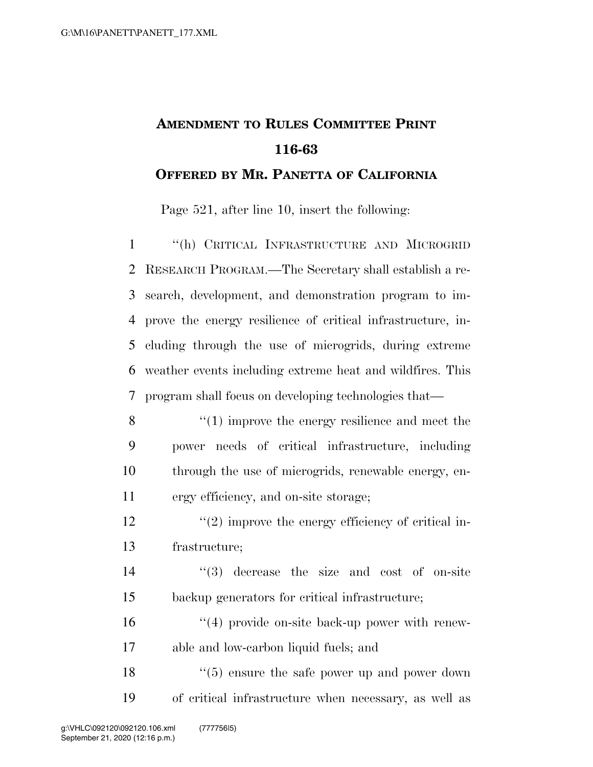## **AMENDMENT TO RULES COMMITTEE PRINT 116-63 OFFERED BY MR. PANETTA OF CALIFORNIA**

Page 521, after line 10, insert the following:

 ''(h) CRITICAL INFRASTRUCTURE AND MICROGRID RESEARCH PROGRAM.—The Secretary shall establish a re- search, development, and demonstration program to im- prove the energy resilience of critical infrastructure, in- cluding through the use of microgrids, during extreme weather events including extreme heat and wildfires. This program shall focus on developing technologies that—

- 8 ''(1) improve the energy resilience and meet the 9 power needs of critical infrastructure, including 10 through the use of microgrids, renewable energy, en-11 ergy efficiency, and on-site storage;
- $\frac{12}{2}$  ''(2) improve the energy efficiency of critical in-13 frastructure;

14 ''(3) decrease the size and cost of on-site 15 backup generators for critical infrastructure;

16  $\frac{16}{16}$   $\frac{16}{16}$  provide on-site back-up power with renew-17 able and low-carbon liquid fuels; and

18 ''(5) ensure the safe power up and power down 19 of critical infrastructure when necessary, as well as